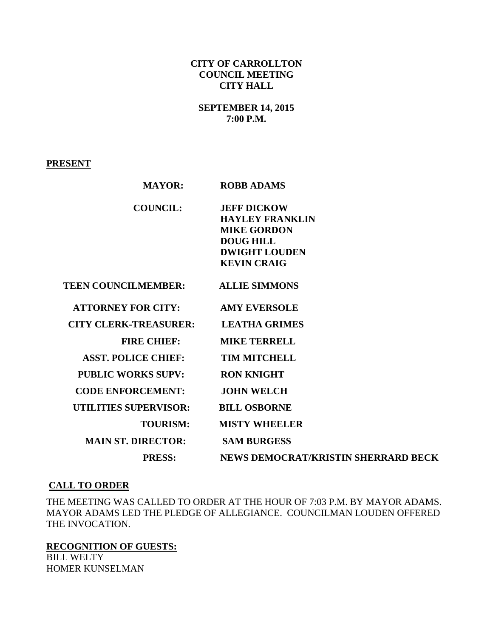## **CITY OF CARROLLTON COUNCIL MEETING CITY HALL**

## **SEPTEMBER 14, 2015 7:00 P.M.**

**PRESENT**

| <b>MAYOR:</b>                | <b>ROBB ADAMS</b>                                                                                                                    |
|------------------------------|--------------------------------------------------------------------------------------------------------------------------------------|
| <b>COUNCIL:</b>              | <b>JEFF DICKOW</b><br><b>HAYLEY FRANKLIN</b><br><b>MIKE GORDON</b><br><b>DOUG HILL</b><br><b>DWIGHT LOUDEN</b><br><b>KEVIN CRAIG</b> |
| <b>TEEN COUNCILMEMBER:</b>   | <b>ALLIE SIMMONS</b>                                                                                                                 |
| <b>ATTORNEY FOR CITY:</b>    | <b>AMY EVERSOLE</b>                                                                                                                  |
| <b>CITY CLERK-TREASURER:</b> | <b>LEATHA GRIMES</b>                                                                                                                 |
| <b>FIRE CHIEF:</b>           | <b>MIKE TERRELL</b>                                                                                                                  |
| <b>ASST. POLICE CHIEF:</b>   | <b>TIM MITCHELL</b>                                                                                                                  |
| <b>PUBLIC WORKS SUPV:</b>    | <b>RON KNIGHT</b>                                                                                                                    |
| <b>CODE ENFORCEMENT:</b>     | <b>JOHN WELCH</b>                                                                                                                    |
| <b>UTILITIES SUPERVISOR:</b> | <b>BILL OSBORNE</b>                                                                                                                  |
| <b>TOURISM:</b>              | <b>MISTY WHEELER</b>                                                                                                                 |
| <b>MAIN ST. DIRECTOR:</b>    | <b>SAM BURGESS</b>                                                                                                                   |
| <b>PRESS:</b>                | <b>NEWS DEMOCRAT/KRISTIN SHERRARD BECK</b>                                                                                           |

## **CALL TO ORDER**

THE MEETING WAS CALLED TO ORDER AT THE HOUR OF 7:03 P.M. BY MAYOR ADAMS. MAYOR ADAMS LED THE PLEDGE OF ALLEGIANCE. COUNCILMAN LOUDEN OFFERED THE INVOCATION.

**RECOGNITION OF GUESTS:** BILL WELTY HOMER KUNSELMAN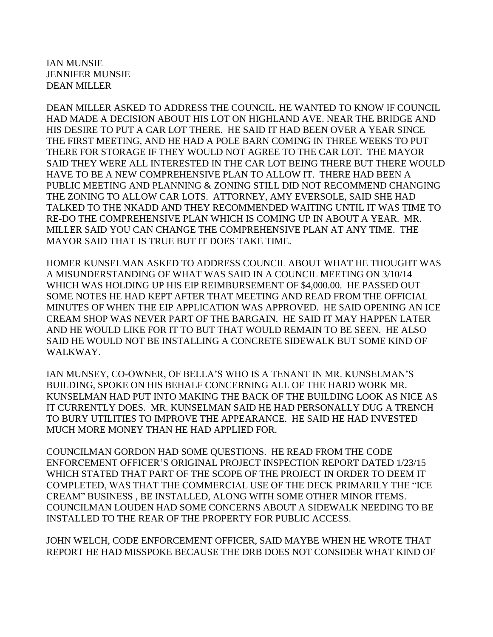IAN MUNSIE JENNIFER MUNSIE DEAN MILLER

DEAN MILLER ASKED TO ADDRESS THE COUNCIL. HE WANTED TO KNOW IF COUNCIL HAD MADE A DECISION ABOUT HIS LOT ON HIGHLAND AVE. NEAR THE BRIDGE AND HIS DESIRE TO PUT A CAR LOT THERE. HE SAID IT HAD BEEN OVER A YEAR SINCE THE FIRST MEETING, AND HE HAD A POLE BARN COMING IN THREE WEEKS TO PUT THERE FOR STORAGE IF THEY WOULD NOT AGREE TO THE CAR LOT. THE MAYOR SAID THEY WERE ALL INTERESTED IN THE CAR LOT BEING THERE BUT THERE WOULD HAVE TO BE A NEW COMPREHENSIVE PLAN TO ALLOW IT. THERE HAD BEEN A PUBLIC MEETING AND PLANNING & ZONING STILL DID NOT RECOMMEND CHANGING THE ZONING TO ALLOW CAR LOTS. ATTORNEY, AMY EVERSOLE, SAID SHE HAD TALKED TO THE NKADD AND THEY RECOMMENDED WAITING UNTIL IT WAS TIME TO RE-DO THE COMPREHENSIVE PLAN WHICH IS COMING UP IN ABOUT A YEAR. MR. MILLER SAID YOU CAN CHANGE THE COMPREHENSIVE PLAN AT ANY TIME. THE MAYOR SAID THAT IS TRUE BUT IT DOES TAKE TIME.

HOMER KUNSELMAN ASKED TO ADDRESS COUNCIL ABOUT WHAT HE THOUGHT WAS A MISUNDERSTANDING OF WHAT WAS SAID IN A COUNCIL MEETING ON 3/10/14 WHICH WAS HOLDING UP HIS EIP REIMBURSEMENT OF \$4,000.00. HE PASSED OUT SOME NOTES HE HAD KEPT AFTER THAT MEETING AND READ FROM THE OFFICIAL MINUTES OF WHEN THE EIP APPLICATION WAS APPROVED. HE SAID OPENING AN ICE CREAM SHOP WAS NEVER PART OF THE BARGAIN. HE SAID IT MAY HAPPEN LATER AND HE WOULD LIKE FOR IT TO BUT THAT WOULD REMAIN TO BE SEEN. HE ALSO SAID HE WOULD NOT BE INSTALLING A CONCRETE SIDEWALK BUT SOME KIND OF WALKWAY.

IAN MUNSEY, CO-OWNER, OF BELLA'S WHO IS A TENANT IN MR. KUNSELMAN'S BUILDING, SPOKE ON HIS BEHALF CONCERNING ALL OF THE HARD WORK MR. KUNSELMAN HAD PUT INTO MAKING THE BACK OF THE BUILDING LOOK AS NICE AS IT CURRENTLY DOES. MR. KUNSELMAN SAID HE HAD PERSONALLY DUG A TRENCH TO BURY UTILITIES TO IMPROVE THE APPEARANCE. HE SAID HE HAD INVESTED MUCH MORE MONEY THAN HE HAD APPLIED FOR.

COUNCILMAN GORDON HAD SOME QUESTIONS. HE READ FROM THE CODE ENFORCEMENT OFFICER'S ORIGINAL PROJECT INSPECTION REPORT DATED 1/23/15 WHICH STATED THAT PART OF THE SCOPE OF THE PROJECT IN ORDER TO DEEM IT COMPLETED, WAS THAT THE COMMERCIAL USE OF THE DECK PRIMARILY THE "ICE CREAM" BUSINESS , BE INSTALLED, ALONG WITH SOME OTHER MINOR ITEMS. COUNCILMAN LOUDEN HAD SOME CONCERNS ABOUT A SIDEWALK NEEDING TO BE INSTALLED TO THE REAR OF THE PROPERTY FOR PUBLIC ACCESS.

JOHN WELCH, CODE ENFORCEMENT OFFICER, SAID MAYBE WHEN HE WROTE THAT REPORT HE HAD MISSPOKE BECAUSE THE DRB DOES NOT CONSIDER WHAT KIND OF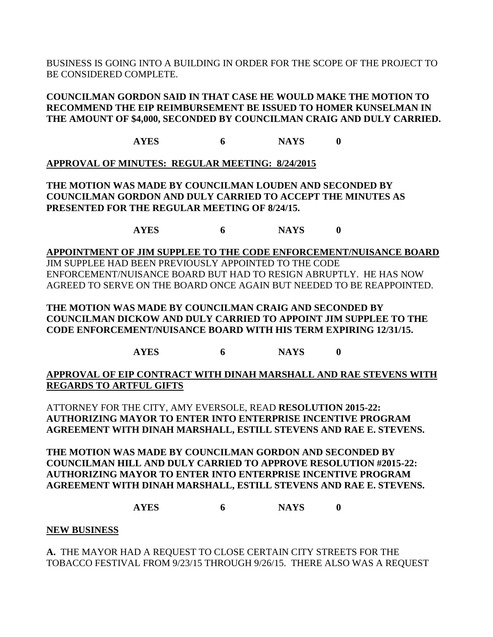BUSINESS IS GOING INTO A BUILDING IN ORDER FOR THE SCOPE OF THE PROJECT TO BE CONSIDERED COMPLETE.

**COUNCILMAN GORDON SAID IN THAT CASE HE WOULD MAKE THE MOTION TO RECOMMEND THE EIP REIMBURSEMENT BE ISSUED TO HOMER KUNSELMAN IN THE AMOUNT OF \$4,000, SECONDED BY COUNCILMAN CRAIG AND DULY CARRIED.**

**AYES 6 NAYS 0**

# **APPROVAL OF MINUTES: REGULAR MEETING: 8/24/2015**

**THE MOTION WAS MADE BY COUNCILMAN LOUDEN AND SECONDED BY COUNCILMAN GORDON AND DULY CARRIED TO ACCEPT THE MINUTES AS PRESENTED FOR THE REGULAR MEETING OF 8/24/15.**

**AYES 6 NAYS 0**

**APPOINTMENT OF JIM SUPPLEE TO THE CODE ENFORCEMENT/NUISANCE BOARD** JIM SUPPLEE HAD BEEN PREVIOUSLY APPOINTED TO THE CODE ENFORCEMENT/NUISANCE BOARD BUT HAD TO RESIGN ABRUPTLY. HE HAS NOW AGREED TO SERVE ON THE BOARD ONCE AGAIN BUT NEEDED TO BE REAPPOINTED.

**THE MOTION WAS MADE BY COUNCILMAN CRAIG AND SECONDED BY COUNCILMAN DICKOW AND DULY CARRIED TO APPOINT JIM SUPPLEE TO THE CODE ENFORCEMENT/NUISANCE BOARD WITH HIS TERM EXPIRING 12/31/15.**

**AYES 6 NAYS 0**

**APPROVAL OF EIP CONTRACT WITH DINAH MARSHALL AND RAE STEVENS WITH REGARDS TO ARTFUL GIFTS**

ATTORNEY FOR THE CITY, AMY EVERSOLE, READ **RESOLUTION 2015-22: AUTHORIZING MAYOR TO ENTER INTO ENTERPRISE INCENTIVE PROGRAM AGREEMENT WITH DINAH MARSHALL, ESTILL STEVENS AND RAE E. STEVENS.**

**THE MOTION WAS MADE BY COUNCILMAN GORDON AND SECONDED BY COUNCILMAN HILL AND DULY CARRIED TO APPROVE RESOLUTION #2015-22: AUTHORIZING MAYOR TO ENTER INTO ENTERPRISE INCENTIVE PROGRAM AGREEMENT WITH DINAH MARSHALL, ESTILL STEVENS AND RAE E. STEVENS.**

**AYES 6 NAYS 0**

**NEW BUSINESS**

**A.** THE MAYOR HAD A REQUEST TO CLOSE CERTAIN CITY STREETS FOR THE TOBACCO FESTIVAL FROM 9/23/15 THROUGH 9/26/15. THERE ALSO WAS A REQUEST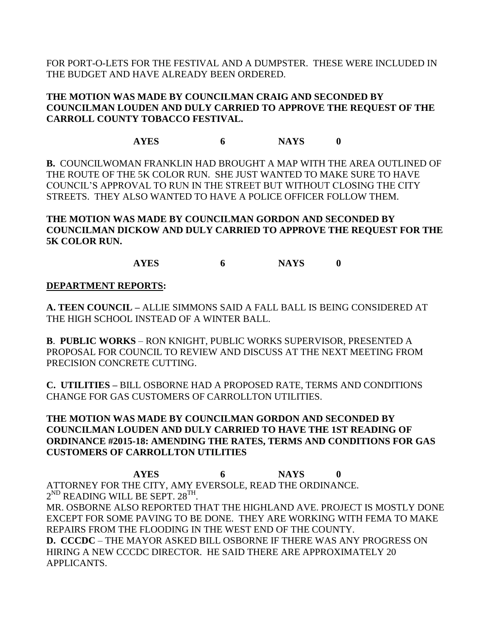FOR PORT-O-LETS FOR THE FESTIVAL AND A DUMPSTER. THESE WERE INCLUDED IN THE BUDGET AND HAVE ALREADY BEEN ORDERED.

## **THE MOTION WAS MADE BY COUNCILMAN CRAIG AND SECONDED BY COUNCILMAN LOUDEN AND DULY CARRIED TO APPROVE THE REQUEST OF THE CARROLL COUNTY TOBACCO FESTIVAL.**

# **AYES 6 NAYS 0**

**B.** COUNCILWOMAN FRANKLIN HAD BROUGHT A MAP WITH THE AREA OUTLINED OF THE ROUTE OF THE 5K COLOR RUN. SHE JUST WANTED TO MAKE SURE TO HAVE COUNCIL'S APPROVAL TO RUN IN THE STREET BUT WITHOUT CLOSING THE CITY STREETS. THEY ALSO WANTED TO HAVE A POLICE OFFICER FOLLOW THEM.

**THE MOTION WAS MADE BY COUNCILMAN GORDON AND SECONDED BY COUNCILMAN DICKOW AND DULY CARRIED TO APPROVE THE REQUEST FOR THE 5K COLOR RUN.**

**AYES 6 NAYS 0**

## **DEPARTMENT REPORTS:**

**A. TEEN COUNCIL –** ALLIE SIMMONS SAID A FALL BALL IS BEING CONSIDERED AT THE HIGH SCHOOL INSTEAD OF A WINTER BALL.

**B**. **PUBLIC WORKS** – RON KNIGHT, PUBLIC WORKS SUPERVISOR, PRESENTED A PROPOSAL FOR COUNCIL TO REVIEW AND DISCUSS AT THE NEXT MEETING FROM PRECISION CONCRETE CUTTING.

**C. UTILITIES –** BILL OSBORNE HAD A PROPOSED RATE, TERMS AND CONDITIONS CHANGE FOR GAS CUSTOMERS OF CARROLLTON UTILITIES.

## **THE MOTION WAS MADE BY COUNCILMAN GORDON AND SECONDED BY COUNCILMAN LOUDEN AND DULY CARRIED TO HAVE THE 1ST READING OF ORDINANCE #2015-18: AMENDING THE RATES, TERMS AND CONDITIONS FOR GAS CUSTOMERS OF CARROLLTON UTILITIES**

**AYES 6 NAYS 0** ATTORNEY FOR THE CITY, AMY EVERSOLE, READ THE ORDINANCE.  $2^{\mathrm{ND}}$  READING WILL BE SEPT.  $28^{\mathrm{TH}}$ .

MR. OSBORNE ALSO REPORTED THAT THE HIGHLAND AVE. PROJECT IS MOSTLY DONE EXCEPT FOR SOME PAVING TO BE DONE. THEY ARE WORKING WITH FEMA TO MAKE REPAIRS FROM THE FLOODING IN THE WEST END OF THE COUNTY.

**D. CCCDC** – THE MAYOR ASKED BILL OSBORNE IF THERE WAS ANY PROGRESS ON HIRING A NEW CCCDC DIRECTOR. HE SAID THERE ARE APPROXIMATELY 20 APPLICANTS.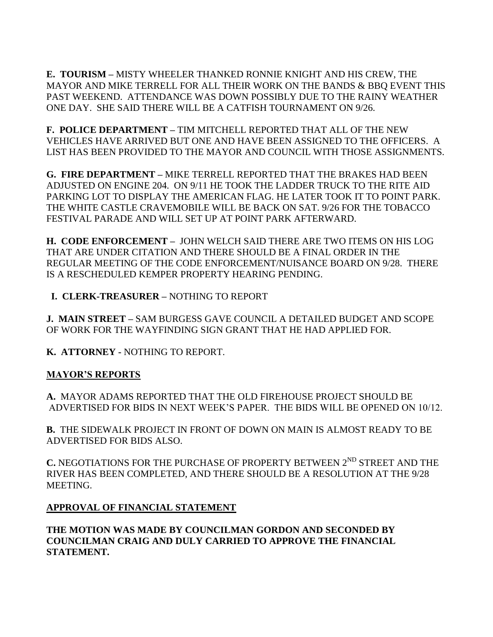**E. TOURISM –** MISTY WHEELER THANKED RONNIE KNIGHT AND HIS CREW, THE MAYOR AND MIKE TERRELL FOR ALL THEIR WORK ON THE BANDS & BBQ EVENT THIS PAST WEEKEND. ATTENDANCE WAS DOWN POSSIBLY DUE TO THE RAINY WEATHER ONE DAY. SHE SAID THERE WILL BE A CATFISH TOURNAMENT ON 9/26.

**F. POLICE DEPARTMENT –** TIM MITCHELL REPORTED THAT ALL OF THE NEW VEHICLES HAVE ARRIVED BUT ONE AND HAVE BEEN ASSIGNED TO THE OFFICERS. A LIST HAS BEEN PROVIDED TO THE MAYOR AND COUNCIL WITH THOSE ASSIGNMENTS.

**G. FIRE DEPARTMENT –** MIKE TERRELL REPORTED THAT THE BRAKES HAD BEEN ADJUSTED ON ENGINE 204. ON 9/11 HE TOOK THE LADDER TRUCK TO THE RITE AID PARKING LOT TO DISPLAY THE AMERICAN FLAG. HE LATER TOOK IT TO POINT PARK. THE WHITE CASTLE CRAVEMOBILE WILL BE BACK ON SAT. 9/26 FOR THE TOBACCO FESTIVAL PARADE AND WILL SET UP AT POINT PARK AFTERWARD.

**H. CODE ENFORCEMENT –** JOHN WELCH SAID THERE ARE TWO ITEMS ON HIS LOG THAT ARE UNDER CITATION AND THERE SHOULD BE A FINAL ORDER IN THE REGULAR MEETING OF THE CODE ENFORCEMENT/NUISANCE BOARD ON 9/28. THERE IS A RESCHEDULED KEMPER PROPERTY HEARING PENDING.

 **I. CLERK-TREASURER –** NOTHING TO REPORT

**J. MAIN STREET –** SAM BURGESS GAVE COUNCIL A DETAILED BUDGET AND SCOPE OF WORK FOR THE WAYFINDING SIGN GRANT THAT HE HAD APPLIED FOR.

**K. ATTORNEY -** NOTHING TO REPORT.

# **MAYOR'S REPORTS**

**A.** MAYOR ADAMS REPORTED THAT THE OLD FIREHOUSE PROJECT SHOULD BE ADVERTISED FOR BIDS IN NEXT WEEK'S PAPER. THE BIDS WILL BE OPENED ON 10/12.

**B.** THE SIDEWALK PROJECT IN FRONT OF DOWN ON MAIN IS ALMOST READY TO BE ADVERTISED FOR BIDS ALSO.

**C. NEGOTIATIONS FOR THE PURCHASE OF PROPERTY BETWEEN 2<sup>ND</sup> STREET AND THE** RIVER HAS BEEN COMPLETED, AND THERE SHOULD BE A RESOLUTION AT THE 9/28 MEETING.

## **APPROVAL OF FINANCIAL STATEMENT**

**THE MOTION WAS MADE BY COUNCILMAN GORDON AND SECONDED BY COUNCILMAN CRAIG AND DULY CARRIED TO APPROVE THE FINANCIAL STATEMENT.**